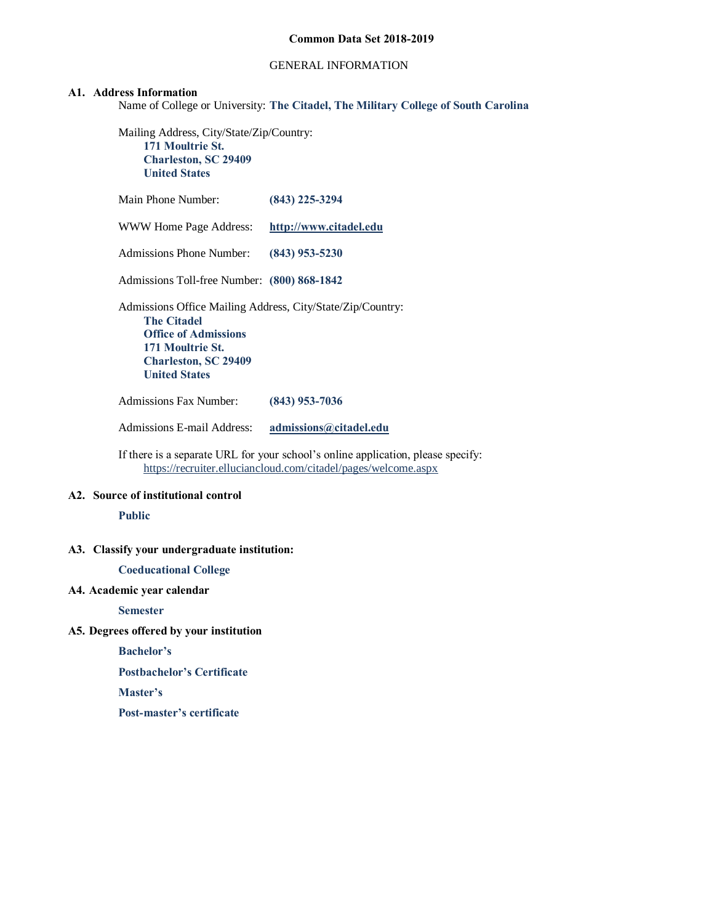### GENERAL INFORMATION

#### **A1. Address Information**

Name of College or University: **The Citadel, The Military College of South Carolina**

Mailing Address, City/State/Zip/Country: **171 Moultrie St. Charleston, SC 29409 United States**

Main Phone Number: **(843) 225-3294** WWW Home Page Address: **[http://www.citadel.edu](http://www.citadel.edu/)** Admissions Phone Number: **(843) 953-5230** Admissions Toll-free Number: **(800) 868-1842** Admissions Office Mailing Address, City/State/Zip/Country: **The Citadel Office of Admissions 171 Moultrie St. Charleston, SC 29409 United States** Admissions Fax Number: **(843) 953-7036**

Admissions E-mail Address: **[admissions@citadel.edu](mailto:admissions@citadel.edu)**

If there is a separate URL for your school's online application, please specify: <https://recruiter.elluciancloud.com/citadel/pages/welcome.aspx>

# **A2. Source of institutional control**

**Public**

#### **A3. Classify your undergraduate institution:**

**Coeducational College**

#### **A4. Academic year calendar**

**Semester**

#### **A5. Degrees offered by your institution**

**Bachelor's**

**Postbachelor's Certificate**

**Master's**

**Post-master's certificate**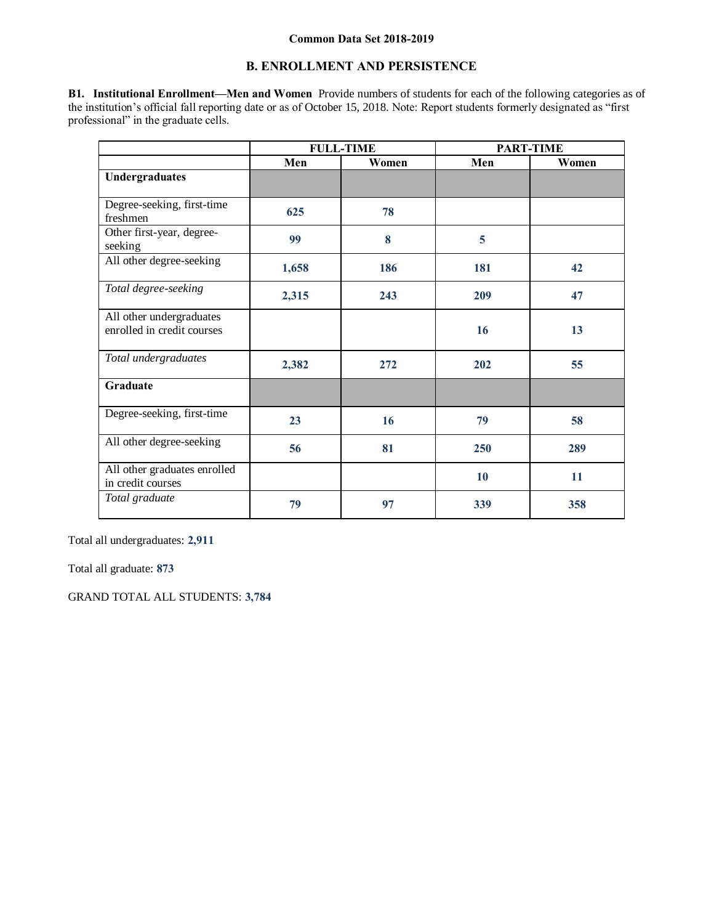# **B. ENROLLMENT AND PERSISTENCE**

**B1. Institutional Enrollment—Men and Women** Provide numbers of students for each of the following categories as of the institution's official fall reporting date or as of October 15, 2018. Note: Report students formerly designated as "first professional" in the graduate cells.

|                                                        |       | <b>FULL-TIME</b> |     | <b>PART-TIME</b> |
|--------------------------------------------------------|-------|------------------|-----|------------------|
|                                                        | Men   | Women            | Men | Women            |
| Undergraduates                                         |       |                  |     |                  |
| Degree-seeking, first-time<br>freshmen                 | 625   | 78               |     |                  |
| Other first-year, degree-<br>seeking                   | 99    | 8                | 5   |                  |
| All other degree-seeking                               | 1,658 | 186              | 181 | 42               |
| Total degree-seeking                                   | 2,315 | 243              | 209 | 47               |
| All other undergraduates<br>enrolled in credit courses |       |                  | 16  | 13               |
| Total undergraduates                                   | 2,382 | 272              | 202 | 55               |
| Graduate                                               |       |                  |     |                  |
| Degree-seeking, first-time                             | 23    | 16               | 79  | 58               |
| All other degree-seeking                               | 56    | 81               | 250 | 289              |
| All other graduates enrolled<br>in credit courses      |       |                  | 10  | 11               |
| Total graduate                                         | 79    | 97               | 339 | 358              |

Total all undergraduates: **2,911**

Total all graduate: **873**

GRAND TOTAL ALL STUDENTS: **3,784**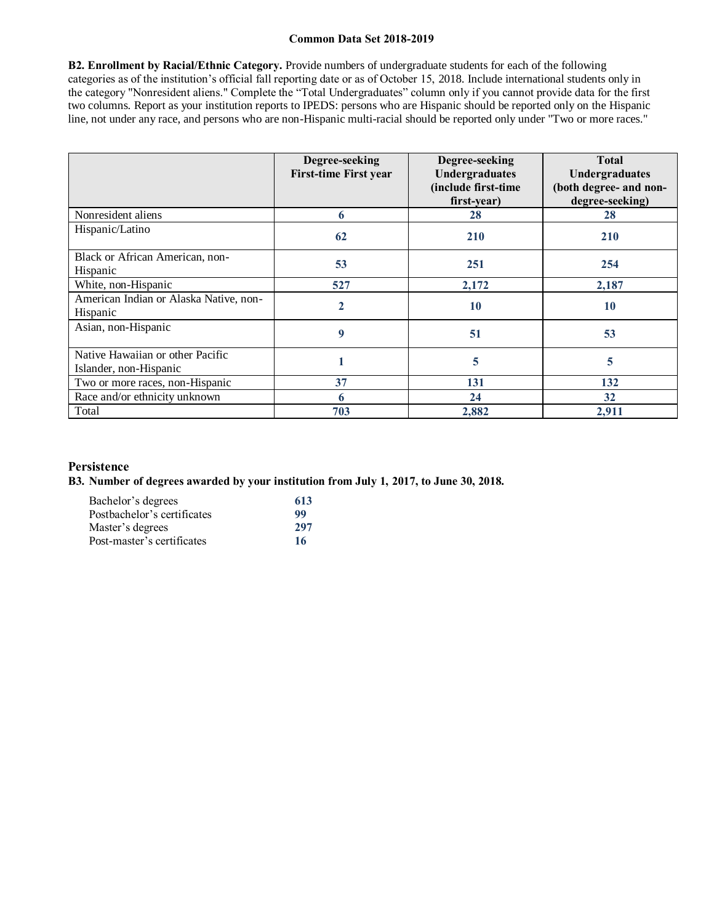**B2. Enrollment by Racial/Ethnic Category.** Provide numbers of undergraduate students for each of the following categories as of the institution's official fall reporting date or as of October 15, 2018. Include international students only in the category "Nonresident aliens." Complete the "Total Undergraduates" column only if you cannot provide data for the first two columns. Report as your institution reports to IPEDS: persons who are Hispanic should be reported only on the Hispanic line, not under any race, and persons who are non-Hispanic multi-racial should be reported only under "Two or more races."

|                                                            | Degree-seeking<br><b>First-time First year</b> | Degree-seeking<br>Undergraduates<br>(include first-time<br>first-year) | <b>Total</b><br><b>Undergraduates</b><br>(both degree- and non-<br>degree-seeking) |
|------------------------------------------------------------|------------------------------------------------|------------------------------------------------------------------------|------------------------------------------------------------------------------------|
| Nonresident aliens                                         | 6                                              | 28                                                                     | 28                                                                                 |
| Hispanic/Latino                                            | 62                                             | <b>210</b>                                                             | <b>210</b>                                                                         |
| Black or African American, non-<br>Hispanic                | 53                                             | 251                                                                    | 254                                                                                |
| White, non-Hispanic                                        | 527                                            | 2,172                                                                  | 2,187                                                                              |
| American Indian or Alaska Native, non-<br>Hispanic         | $\mathbf{2}$                                   | 10                                                                     | 10                                                                                 |
| Asian, non-Hispanic                                        | 9                                              | 51                                                                     | 53                                                                                 |
| Native Hawaiian or other Pacific<br>Islander, non-Hispanic |                                                | 5                                                                      | 5                                                                                  |
| Two or more races, non-Hispanic                            | 37                                             | 131                                                                    | 132                                                                                |
| Race and/or ethnicity unknown                              | 6                                              | 24                                                                     | 32                                                                                 |
| Total                                                      | 703                                            | 2.882                                                                  | 2.911                                                                              |

# **Persistence**

**B3. Number of degrees awarded by your institution from July 1, 2017, to June 30, 2018.**

| Bachelor's degrees          | 613 |
|-----------------------------|-----|
| Postbachelor's certificates | 99  |
| Master's degrees            | 297 |
| Post-master's certificates  | 16  |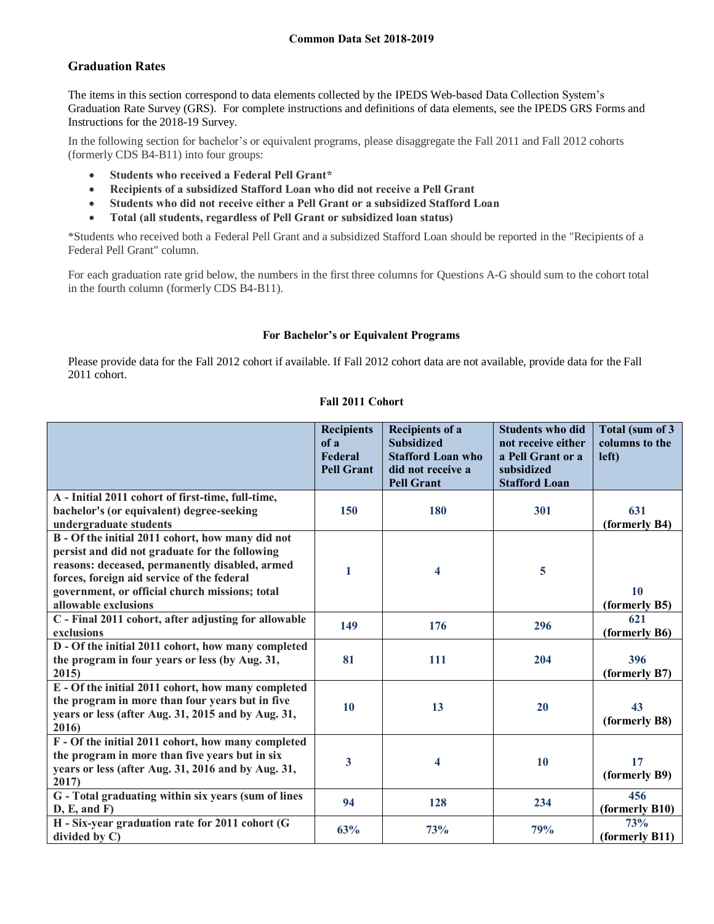# **Graduation Rates**

The items in this section correspond to data elements collected by the IPEDS Web-based Data Collection System's Graduation Rate Survey (GRS). For complete instructions and definitions of data elements, see the IPEDS GRS Forms and Instructions for the 2018-19 Survey.

In the following section for bachelor's or equivalent programs, please disaggregate the Fall 2011 and Fall 2012 cohorts (formerly CDS B4-B11) into four groups:

- **Students who received a Federal Pell Grant\***
- **Recipients of a subsidized Stafford Loan who did not receive a Pell Grant**
- **Students who did not receive either a Pell Grant or a subsidized Stafford Loan**
- **Total (all students, regardless of Pell Grant or subsidized loan status)**

\*Students who received both a Federal Pell Grant and a subsidized Stafford Loan should be reported in the "Recipients of a Federal Pell Grant" column.

For each graduation rate grid below, the numbers in the first three columns for Questions A-G should sum to the cohort total in the fourth column (formerly CDS B4-B11).

# **For Bachelor's or Equivalent Programs**

Please provide data for the Fall 2012 cohort if available. If Fall 2012 cohort data are not available, provide data for the Fall 2011 cohort.

# **Fall 2011 Cohort**

|                                                                                                                                                                                                                                                                              | <b>Recipients</b><br>of a<br>Federal<br><b>Pell Grant</b> | <b>Recipients of a</b><br><b>Subsidized</b><br><b>Stafford Loan who</b><br>did not receive a<br><b>Pell Grant</b> | <b>Students who did</b><br>not receive either<br>a Pell Grant or a<br>subsidized<br><b>Stafford Loan</b> | Total (sum of 3<br>columns to the<br>left) |
|------------------------------------------------------------------------------------------------------------------------------------------------------------------------------------------------------------------------------------------------------------------------------|-----------------------------------------------------------|-------------------------------------------------------------------------------------------------------------------|----------------------------------------------------------------------------------------------------------|--------------------------------------------|
| A - Initial 2011 cohort of first-time, full-time,<br>bachelor's (or equivalent) degree-seeking<br>undergraduate students                                                                                                                                                     | 150                                                       | 180                                                                                                               | 301                                                                                                      | 631<br>(formerly B4)                       |
| B - Of the initial 2011 cohort, how many did not<br>persist and did not graduate for the following<br>reasons: deceased, permanently disabled, armed<br>forces, foreign aid service of the federal<br>government, or official church missions; total<br>allowable exclusions | 1                                                         | 4                                                                                                                 | 5                                                                                                        | 10<br>(formerly B5)                        |
| C - Final 2011 cohort, after adjusting for allowable<br>exclusions                                                                                                                                                                                                           | 149                                                       | 176                                                                                                               | 296                                                                                                      | 621<br>(formerly B6)                       |
| D - Of the initial 2011 cohort, how many completed<br>the program in four years or less (by Aug. 31,<br>2015)                                                                                                                                                                | 81                                                        | 111                                                                                                               | 204                                                                                                      | 396<br>(formerly B7)                       |
| E - Of the initial 2011 cohort, how many completed<br>the program in more than four years but in five<br>years or less (after Aug. 31, 2015 and by Aug. 31,<br>2016)                                                                                                         | <b>10</b>                                                 | 13                                                                                                                | 20                                                                                                       | 43<br>(formerly B8)                        |
| F - Of the initial 2011 cohort, how many completed<br>the program in more than five years but in six<br>years or less (after Aug. 31, 2016 and by Aug. 31,<br>2017)                                                                                                          | 3                                                         | 4                                                                                                                 | 10                                                                                                       | 17<br>(formerly B9)                        |
| G - Total graduating within six years (sum of lines<br>D, E, and F)                                                                                                                                                                                                          | 94                                                        | 128                                                                                                               | 234                                                                                                      | 456<br>(formerly B10)                      |
| H - Six-year graduation rate for 2011 cohort (G<br>divided by $C$ )                                                                                                                                                                                                          | 63%                                                       | 73%                                                                                                               | 79%                                                                                                      | 73%<br>(formerly B11)                      |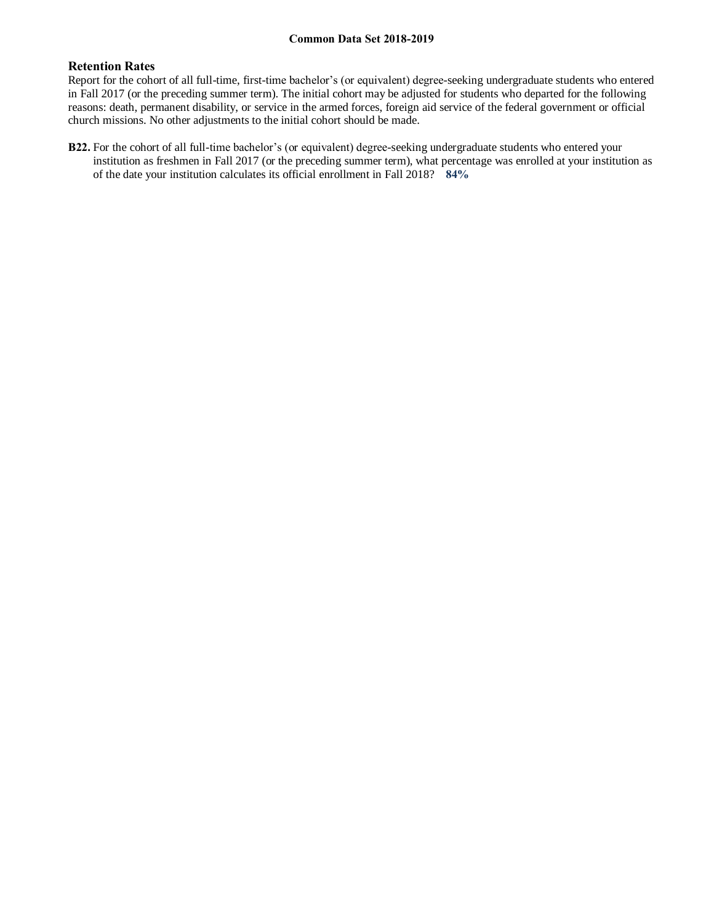# **Retention Rates**

Report for the cohort of all full-time, first-time bachelor's (or equivalent) degree-seeking undergraduate students who entered in Fall 2017 (or the preceding summer term). The initial cohort may be adjusted for students who departed for the following reasons: death, permanent disability, or service in the armed forces, foreign aid service of the federal government or official church missions. No other adjustments to the initial cohort should be made.

**B22.** For the cohort of all full-time bachelor's (or equivalent) degree-seeking undergraduate students who entered your institution as freshmen in Fall 2017 (or the preceding summer term), what percentage was enrolled at your institution as of the date your institution calculates its official enrollment in Fall 2018? **84%**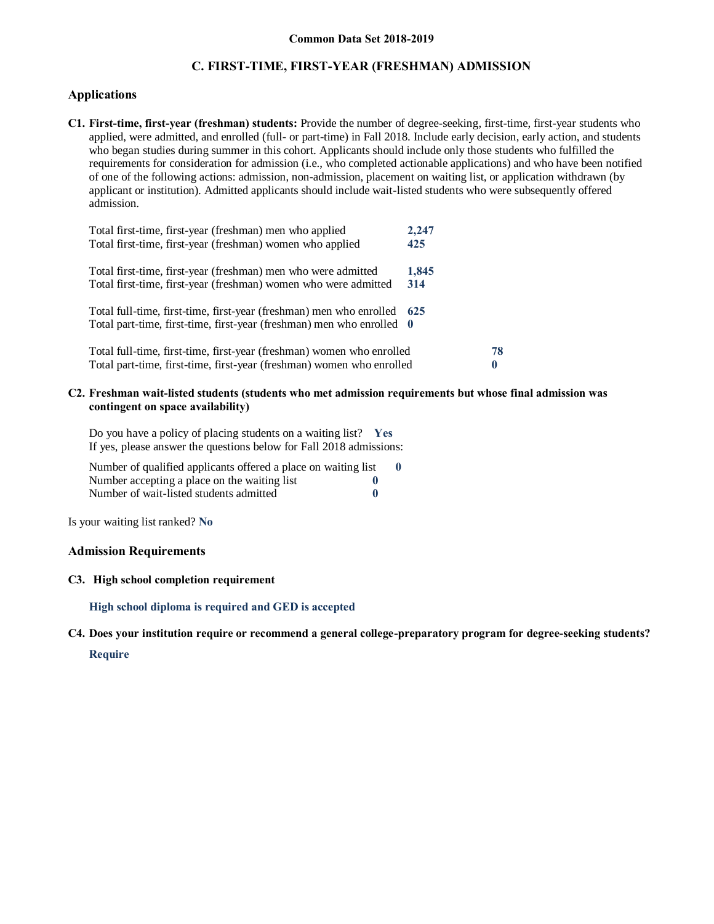# **C. FIRST-TIME, FIRST-YEAR (FRESHMAN) ADMISSION**

### **Applications**

**C1. First-time, first-year (freshman) students:** Provide the number of degree-seeking, first-time, first-year students who applied, were admitted, and enrolled (full- or part-time) in Fall 2018. Include early decision, early action, and students who began studies during summer in this cohort. Applicants should include only those students who fulfilled the requirements for consideration for admission (i.e., who completed actionable applications) and who have been notified of one of the following actions: admission, non-admission, placement on waiting list, or application withdrawn (by applicant or institution). Admitted applicants should include wait-listed students who were subsequently offered admission.

| Total first-time, first-year (freshman) men who applied                 | 2,247 |    |
|-------------------------------------------------------------------------|-------|----|
| Total first-time, first-year (freshman) women who applied               | 425   |    |
| Total first-time, first-year (freshman) men who were admitted           | 1,845 |    |
| Total first-time, first-year (freshman) women who were admitted         | 314   |    |
| Total full-time, first-time, first-year (freshman) men who enrolled 625 |       |    |
| Total part-time, first-time, first-year (freshman) men who enrolled 0   |       |    |
| Total full-time, first-time, first-year (freshman) women who enrolled   |       | 78 |
| Total part-time, first-time, first-year (freshman) women who enrolled   |       |    |

#### **C2. Freshman wait-listed students (students who met admission requirements but whose final admission was contingent on space availability)**

Do you have a policy of placing students on a waiting list? **Yes** If yes, please answer the questions below for Fall 2018 admissions:

| Number of qualified applicants offered a place on waiting list |             |  |
|----------------------------------------------------------------|-------------|--|
| Number accepting a place on the waiting list                   |             |  |
| Number of wait-listed students admitted                        | $\mathbf 0$ |  |

Is your waiting list ranked? **No**

#### **Admission Requirements**

### **C3. High school completion requirement**

**High school diploma is required and GED is accepted**

**C4. Does your institution require or recommend a general college-preparatory program for degree-seeking students? Require**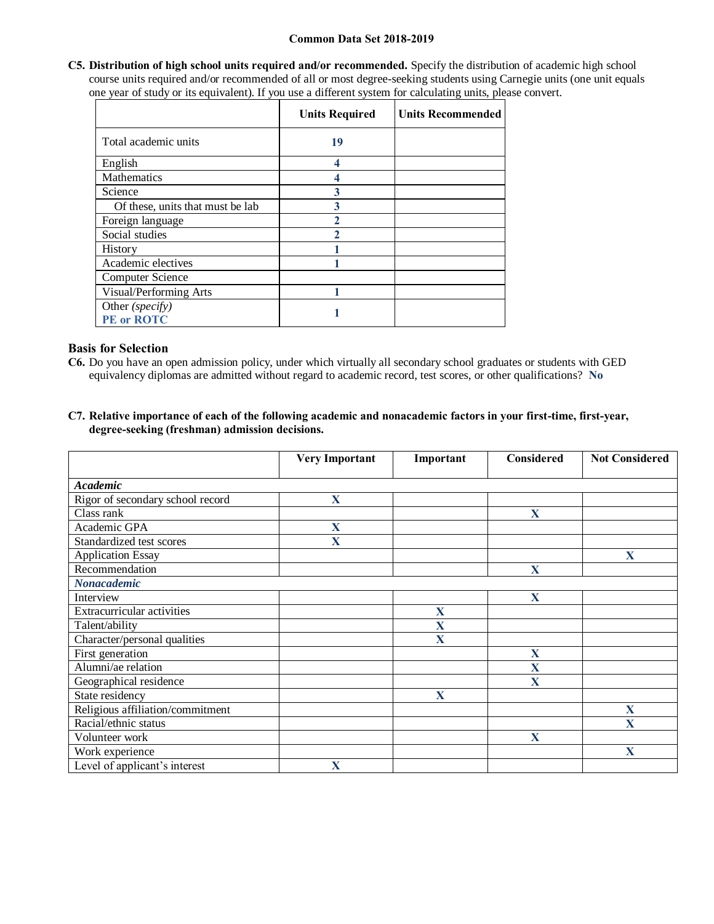**C5. Distribution of high school units required and/or recommended.** Specify the distribution of academic high school course units required and/or recommended of all or most degree-seeking students using Carnegie units (one unit equals one year of study or its equivalent). If you use a different system for calculating units, please convert.

|                                  | <b>Units Required</b> | <b>Units Recommended</b> |
|----------------------------------|-----------------------|--------------------------|
| Total academic units             | 19                    |                          |
| English                          |                       |                          |
| Mathematics                      |                       |                          |
| Science                          | 3                     |                          |
| Of these, units that must be lab | 3                     |                          |
| Foreign language                 |                       |                          |
| Social studies                   |                       |                          |
| History                          |                       |                          |
| Academic electives               |                       |                          |
| Computer Science                 |                       |                          |
| Visual/Performing Arts           |                       |                          |
| Other (specify)<br>PE or ROTC    |                       |                          |

### **Basis for Selection**

- **C6.** Do you have an open admission policy, under which virtually all secondary school graduates or students with GED equivalency diplomas are admitted without regard to academic record, test scores, or other qualifications? **No**
- **C7. Relative importance of each of the following academic and nonacademic factors in your first-time, first-year, degree-seeking (freshman) admission decisions.**

|                                   | <b>Very Important</b> | Important   | <b>Considered</b> | <b>Not Considered</b> |
|-----------------------------------|-----------------------|-------------|-------------------|-----------------------|
| Academic                          |                       |             |                   |                       |
| Rigor of secondary school record  | X                     |             |                   |                       |
| Class rank                        |                       |             | $\mathbf{X}$      |                       |
| Academic GPA                      | X                     |             |                   |                       |
| Standardized test scores          | X                     |             |                   |                       |
| <b>Application Essay</b>          |                       |             |                   | X                     |
| Recommendation                    |                       |             | X                 |                       |
| <b>Nonacademic</b>                |                       |             |                   |                       |
| Interview                         |                       |             | $\mathbf{X}$      |                       |
| <b>Extracurricular activities</b> |                       | $\mathbf X$ |                   |                       |
| Talent/ability                    |                       | $\mathbf X$ |                   |                       |
| Character/personal qualities      |                       | X           |                   |                       |
| First generation                  |                       |             | X                 |                       |
| Alumni/ae relation                |                       |             | X                 |                       |
| Geographical residence            |                       |             | X                 |                       |
| State residency                   |                       | X           |                   |                       |
| Religious affiliation/commitment  |                       |             |                   | X                     |
| Racial/ethnic status              |                       |             |                   | $\mathbf x$           |
| Volunteer work                    |                       |             | $\mathbf{X}$      |                       |
| Work experience                   |                       |             |                   | X                     |
| Level of applicant's interest     | X                     |             |                   |                       |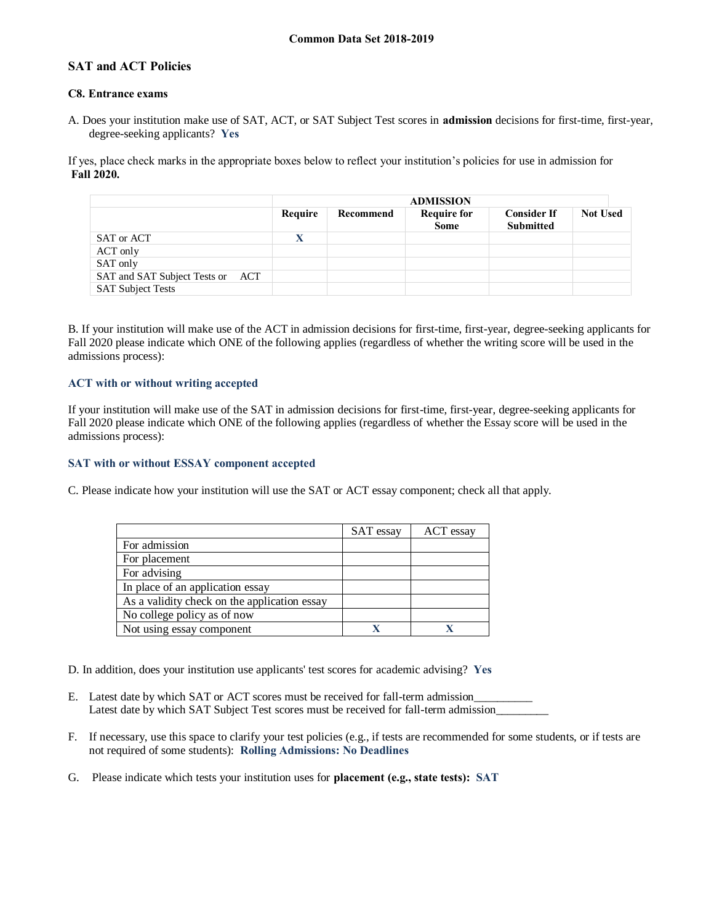# **SAT and ACT Policies**

### **C8. Entrance exams**

A. Does your institution make use of SAT, ACT, or SAT Subject Test scores in **admission** decisions for first-time, first-year, degree-seeking applicants? **Yes**

If yes, place check marks in the appropriate boxes below to reflect your institution's policies for use in admission for **Fall 2020.**

|                                  |         | <b>ADMISSION</b> |                            |                                        |                 |
|----------------------------------|---------|------------------|----------------------------|----------------------------------------|-----------------|
|                                  | Require | Recommend        | <b>Require for</b><br>Some | <b>Consider If</b><br><b>Submitted</b> | <b>Not Used</b> |
| SAT or ACT                       |         |                  |                            |                                        |                 |
| ACT only                         |         |                  |                            |                                        |                 |
| SAT only                         |         |                  |                            |                                        |                 |
| SAT and SAT Subject Tests or ACT |         |                  |                            |                                        |                 |
| <b>SAT Subject Tests</b>         |         |                  |                            |                                        |                 |

B. If your institution will make use of the ACT in admission decisions for first-time, first-year, degree-seeking applicants for Fall 2020 please indicate which ONE of the following applies (regardless of whether the writing score will be used in the admissions process):

# **ACT with or without writing accepted**

If your institution will make use of the SAT in admission decisions for first-time, first-year, degree-seeking applicants for Fall 2020 please indicate which ONE of the following applies (regardless of whether the Essay score will be used in the admissions process):

# **SAT with or without ESSAY component accepted**

C. Please indicate how your institution will use the SAT or ACT essay component; check all that apply.

|                                              | SAT essay | ACT essay |
|----------------------------------------------|-----------|-----------|
| For admission                                |           |           |
| For placement                                |           |           |
| For advising                                 |           |           |
| In place of an application essay             |           |           |
| As a validity check on the application essay |           |           |
| No college policy as of now                  |           |           |
| Not using essay component                    |           |           |

D. In addition, does your institution use applicants' test scores for academic advising? **Yes**

- E. Latest date by which SAT or ACT scores must be received for fall-term admission Latest date by which SAT Subject Test scores must be received for fall-term admission\_
- F. If necessary, use this space to clarify your test policies (e.g., if tests are recommended for some students, or if tests are not required of some students): **Rolling Admissions: No Deadlines**
- G. Please indicate which tests your institution uses for **placement (e.g., state tests): SAT**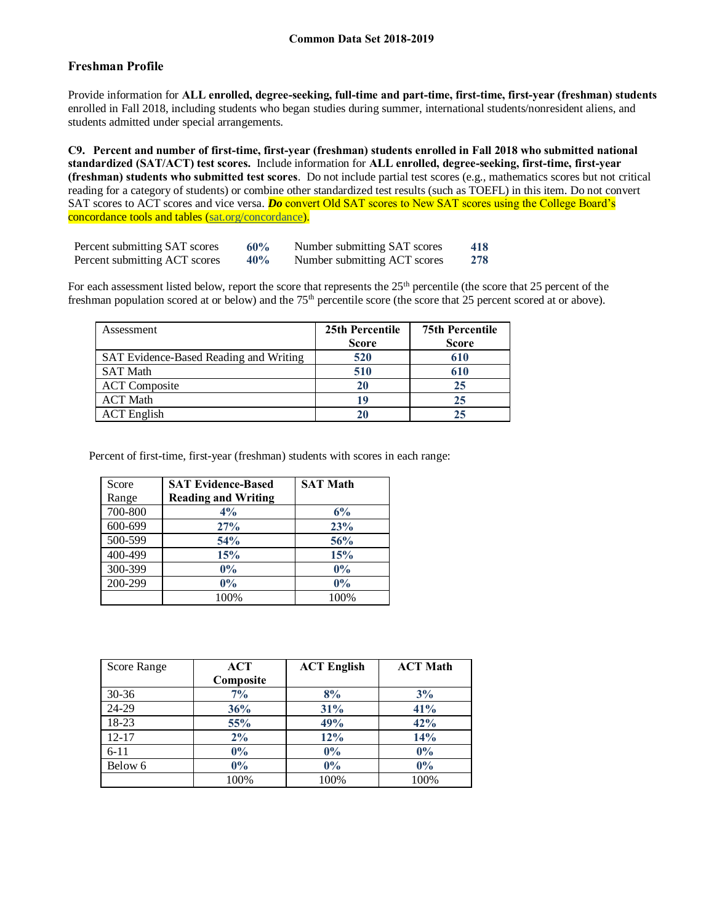# **Freshman Profile**

Provide information for **ALL enrolled, degree-seeking, full-time and part-time, first-time, first-year (freshman) students**  enrolled in Fall 2018, including students who began studies during summer, international students/nonresident aliens, and students admitted under special arrangements.

**C9. Percent and number of first-time, first-year (freshman) students enrolled in Fall 2018 who submitted national standardized (SAT/ACT) test scores.** Include information for **ALL enrolled, degree-seeking, first-time, first-year (freshman) students who submitted test scores**. Do not include partial test scores (e.g., mathematics scores but not critical reading for a category of students) or combine other standardized test results (such as TOEFL) in this item. Do not convert SAT scores to ACT scores and vice versa. *Do* convert Old SAT scores to New SAT scores using the College Board's concordance tools and tables (sat.org/concordance).

| Percent submitting SAT scores | 60% | Number submitting SAT scores | 418 |
|-------------------------------|-----|------------------------------|-----|
| Percent submitting ACT scores | 40% | Number submitting ACT scores | 278 |

For each assessment listed below, report the score that represents the 25<sup>th</sup> percentile (the score that 25 percent of the freshman population scored at or below) and the 75<sup>th</sup> percentile score (the score that 25 percent scored at or above).

| Assessment                             | 25th Percentile | <b>75th Percentile</b> |
|----------------------------------------|-----------------|------------------------|
|                                        | <b>Score</b>    | <b>Score</b>           |
| SAT Evidence-Based Reading and Writing | 520             | 610                    |
| <b>SAT Math</b>                        | 510             | 610                    |
| <b>ACT</b> Composite                   | 20              | 25                     |
| <b>ACT</b> Math                        | 19              | 25                     |
| <b>ACT</b> English                     | 20              | 25                     |

Percent of first-time, first-year (freshman) students with scores in each range:

| Score   | <b>SAT Evidence-Based</b>  | <b>SAT Math</b> |
|---------|----------------------------|-----------------|
| Range   | <b>Reading and Writing</b> |                 |
| 700-800 | 4%                         | 6%              |
| 600-699 | 27%                        | 23%             |
| 500-599 | 54%                        | 56%             |
| 400-499 | 15%                        | 15%             |
| 300-399 | $0\%$                      | $0\%$           |
| 200-299 | $0\%$                      | $0\%$           |
|         | 100%                       | 100%            |

| Score Range | ACT       | <b>ACT English</b> | <b>ACT Math</b> |
|-------------|-----------|--------------------|-----------------|
|             | Composite |                    |                 |
| $30 - 36$   | $7\%$     | 8%                 | 3%              |
| 24-29       | 36%       | 31%                | 41%             |
| 18-23       | 55%       | 49%                | 42%             |
| $12 - 17$   | 2%        | 12%                | 14%             |
| $6 - 11$    | $0\%$     | $0\%$              | $0\%$           |
| Below 6     | $0\%$     | $0\%$              | $0\%$           |
|             | 100%      | 100%               | 100%            |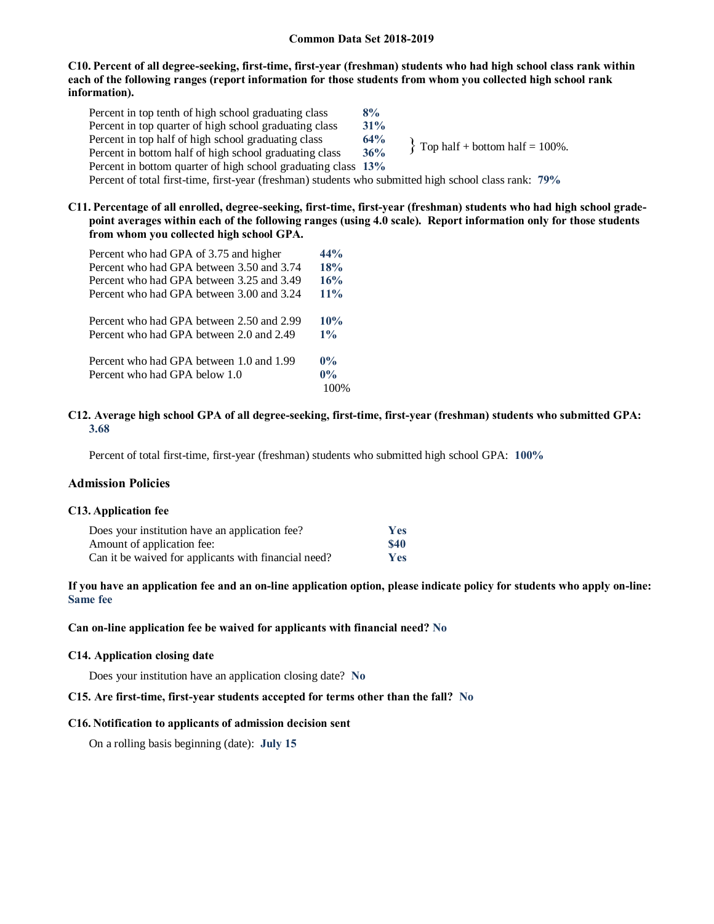### **C10. Percent of all degree-seeking, first-time, first-year (freshman) students who had high school class rank within each of the following ranges (report information for those students from whom you collected high school rank information).**

Percent in top tenth of high school graduating class **8%** Percent in top quarter of high school graduating class **31%** Percent in top half of high school graduating class 64%<br>Percent in bottom half of high school graduating class 36% Percent in bottom half of high school graduating class Percent in bottom quarter of high school graduating class **13%** Percent of total first-time, first-year (freshman) students who submitted high school class rank: **79%**  $\{$  Top half + bottom half = 100%.

### **C11. Percentage of all enrolled, degree-seeking, first-time, first-year (freshman) students who had high school gradepoint averages within each of the following ranges (using 4.0 scale). Report information only for those students from whom you collected high school GPA.**

| Percent who had GPA of 3.75 and higher    | 44%    |
|-------------------------------------------|--------|
| Percent who had GPA between 3.50 and 3.74 | 18%    |
| Percent who had GPA between 3.25 and 3.49 | 16%    |
| Percent who had GPA between 3.00 and 3.24 | $11\%$ |
| Percent who had GPA between 2.50 and 2.99 | 10%    |
| Percent who had GPA between 2.0 and 2.49  | $1\%$  |
| Percent who had GPA between 1.0 and 1.99  | $0\%$  |
| Percent who had GPA below 1.0             | $0\%$  |
|                                           |        |

### **C12. Average high school GPA of all degree-seeking, first-time, first-year (freshman) students who submitted GPA: 3.68**

Percent of total first-time, first-year (freshman) students who submitted high school GPA: **100%**

#### **Admission Policies**

#### **C13. Application fee**

| Does your institution have an application fee?       | <b>Yes</b> |
|------------------------------------------------------|------------|
| Amount of application fee:                           | \$40       |
| Can it be waived for applicants with financial need? | <b>Yes</b> |

# **If you have an application fee and an on-line application option, please indicate policy for students who apply on-line: Same fee**

#### **Can on-line application fee be waived for applicants with financial need? No**

#### **C14. Application closing date**

Does your institution have an application closing date? **No**

#### **C15. Are first-time, first-year students accepted for terms other than the fall? No**

#### **C16. Notification to applicants of admission decision sent**

On a rolling basis beginning (date): **July 15**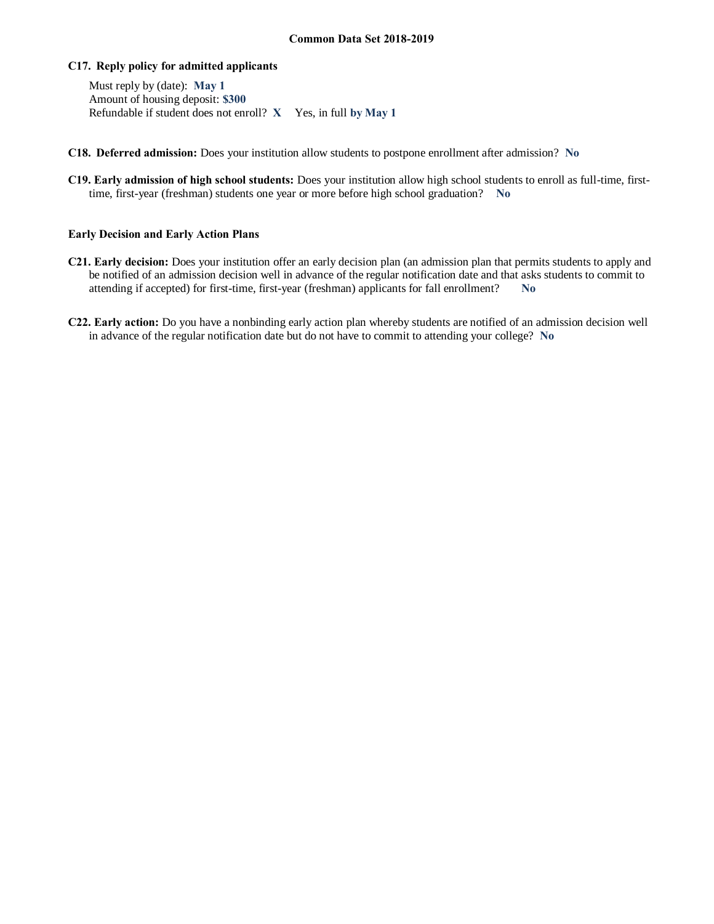### **C17. Reply policy for admitted applicants**

Must reply by (date): **May 1** Amount of housing deposit: **\$300** Refundable if student does not enroll? **X** Yes, in full **by May 1**

- **C18. Deferred admission:** Does your institution allow students to postpone enrollment after admission? **No**
- **C19. Early admission of high school students:** Does your institution allow high school students to enroll as full-time, firsttime, first-year (freshman) students one year or more before high school graduation? **No**

### **Early Decision and Early Action Plans**

- **C21. Early decision:** Does your institution offer an early decision plan (an admission plan that permits students to apply and be notified of an admission decision well in advance of the regular notification date and that asks students to commit to attending if accepted) for first-time, first-year (freshman) applicants for fall enrollment? **No**
- **C22. Early action:** Do you have a nonbinding early action plan whereby students are notified of an admission decision well in advance of the regular notification date but do not have to commit to attending your college? **No**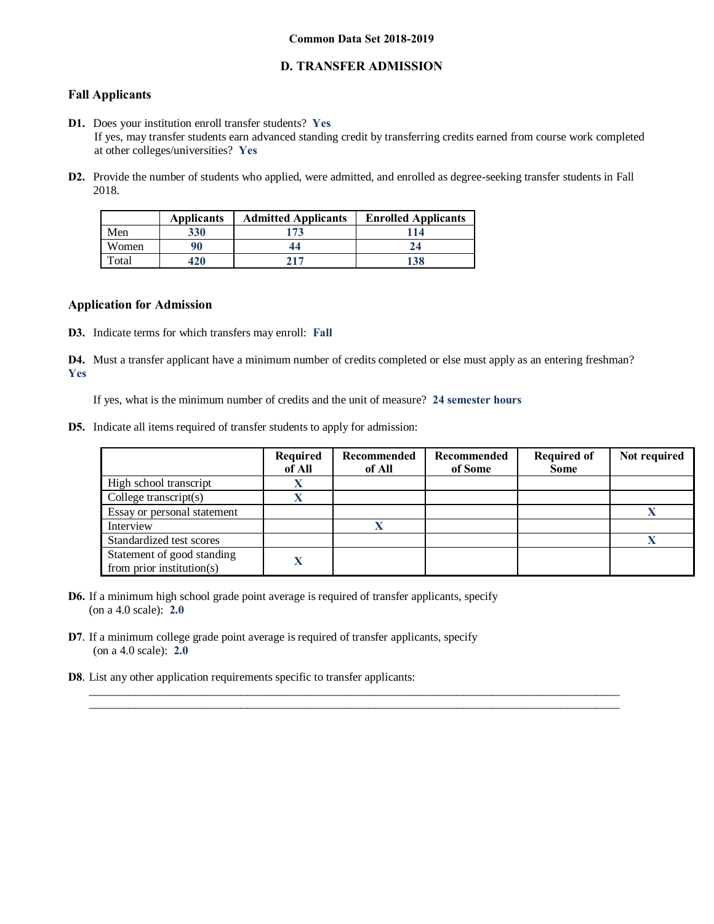# **D. TRANSFER ADMISSION**

# **Fall Applicants**

- **D1.** Does your institution enroll transfer students? **Yes** If yes, may transfer students earn advanced standing credit by transferring credits earned from course work completed at other colleges/universities? **Yes**
- **D2.** Provide the number of students who applied, were admitted, and enrolled as degree-seeking transfer students in Fall 2018.

|       | <b>Applicants</b> | <b>Admitted Applicants</b> | <b>Enrolled Applicants</b> |
|-------|-------------------|----------------------------|----------------------------|
| Men   | 330               | 173                        | 114                        |
| Women | 90                | 44                         |                            |
| Total | 420               | 717                        | 138                        |

### **Application for Admission**

**D3.** Indicate terms for which transfers may enroll: **Fall**

**D4.** Must a transfer applicant have a minimum number of credits completed or else must apply as an entering freshman? **Yes**

 $\_$  ,  $\_$  ,  $\_$  ,  $\_$  ,  $\_$  ,  $\_$  ,  $\_$  ,  $\_$  ,  $\_$  ,  $\_$  ,  $\_$  ,  $\_$  ,  $\_$  ,  $\_$  ,  $\_$  ,  $\_$  ,  $\_$  ,  $\_$  ,  $\_$  ,  $\_$  ,  $\_$  ,  $\_$  ,  $\_$  ,  $\_$  ,  $\_$  ,  $\_$  ,  $\_$  ,  $\_$  ,  $\_$  ,  $\_$  ,  $\_$  ,  $\_$  ,  $\_$  ,  $\_$  ,  $\_$  ,  $\_$  ,  $\_$  ,  $\_$  ,  $\_$  ,  $\_$  ,  $\_$  ,  $\_$  ,  $\_$  ,  $\_$  ,  $\_$  ,  $\_$  ,  $\_$  ,  $\_$  ,  $\_$  ,  $\_$  ,  $\_$  ,  $\_$  ,  $\_$  ,  $\_$  ,  $\_$  ,  $\_$  ,  $\_$  ,  $\_$  ,  $\_$  ,  $\_$  ,  $\_$  ,  $\_$  ,  $\_$  ,  $\_$  ,  $\_$  ,  $\_$  ,  $\_$  ,  $\_$  ,  $\_$  ,  $\_$  ,  $\_$  ,  $\_$  ,  $\_$  ,  $\_$  ,

If yes, what is the minimum number of credits and the unit of measure? **24 semester hours**

**D5.** Indicate all items required of transfer students to apply for admission:

|                                                             | Required<br>of All | Recommended<br>of All | Recommended<br>of Some | <b>Required of</b><br><b>Some</b> | Not required |
|-------------------------------------------------------------|--------------------|-----------------------|------------------------|-----------------------------------|--------------|
| High school transcript                                      |                    |                       |                        |                                   |              |
| College transcript $(s)$                                    |                    |                       |                        |                                   |              |
| Essay or personal statement                                 |                    |                       |                        |                                   |              |
| Interview                                                   |                    | $\mathbf x$           |                        |                                   |              |
| Standardized test scores                                    |                    |                       |                        |                                   |              |
| Statement of good standing<br>from prior institution( $s$ ) |                    |                       |                        |                                   |              |

- **D6.** If a minimum high school grade point average is required of transfer applicants, specify (on a 4.0 scale): **2.0**
- **D7**. If a minimum college grade point average is required of transfer applicants, specify (on a 4.0 scale): **2.0**
- **D8**. List any other application requirements specific to transfer applicants: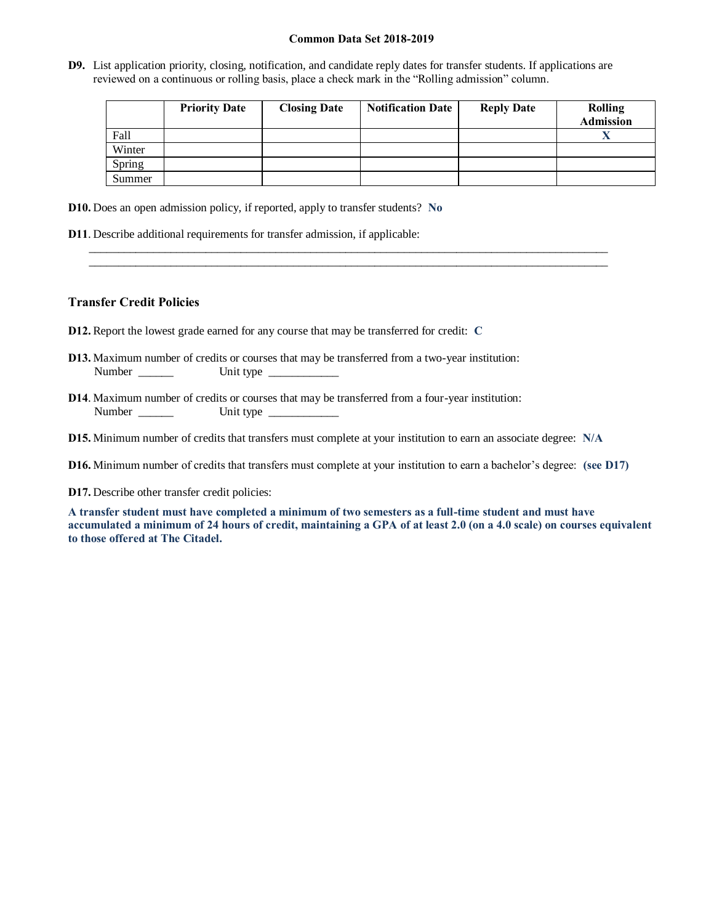**D9.** List application priority, closing, notification, and candidate reply dates for transfer students. If applications are reviewed on a continuous or rolling basis, place a check mark in the "Rolling admission" column.

|        | <b>Priority Date</b> | <b>Closing Date</b> | <b>Notification Date</b> | <b>Reply Date</b> | <b>Rolling</b><br><b>Admission</b> |
|--------|----------------------|---------------------|--------------------------|-------------------|------------------------------------|
| Fall   |                      |                     |                          |                   |                                    |
| Winter |                      |                     |                          |                   |                                    |
| Spring |                      |                     |                          |                   |                                    |
| Summer |                      |                     |                          |                   |                                    |

**D10.** Does an open admission policy, if reported, apply to transfer students? **No**

**D11**. Describe additional requirements for transfer admission, if applicable:

### **Transfer Credit Policies**

- **D12.** Report the lowest grade earned for any course that may be transferred for credit: **C**
- **D13.** Maximum number of credits or courses that may be transferred from a two-year institution: Number \_\_\_\_\_\_ Unit type \_\_\_\_\_\_\_\_\_\_\_\_
- **D14**. Maximum number of credits or courses that may be transferred from a four-year institution: Number \_\_\_\_\_\_ Unit type \_\_\_\_\_\_\_\_\_\_\_\_

**D15.** Minimum number of credits that transfers must complete at your institution to earn an associate degree: **N/A**

**D16.** Minimum number of credits that transfers must complete at your institution to earn a bachelor's degree: **(see D17)**

\_\_\_\_\_\_\_\_\_\_\_\_\_\_\_\_\_\_\_\_\_\_\_\_\_\_\_\_\_\_\_\_\_\_\_\_\_\_\_\_\_\_\_\_\_\_\_\_\_\_\_\_\_\_\_\_\_\_\_\_\_\_\_\_\_\_\_\_\_\_\_\_\_\_\_\_\_\_\_\_\_\_\_\_\_\_\_\_\_ \_\_\_\_\_\_\_\_\_\_\_\_\_\_\_\_\_\_\_\_\_\_\_\_\_\_\_\_\_\_\_\_\_\_\_\_\_\_\_\_\_\_\_\_\_\_\_\_\_\_\_\_\_\_\_\_\_\_\_\_\_\_\_\_\_\_\_\_\_\_\_\_\_\_\_\_\_\_\_\_\_\_\_\_\_\_\_\_\_

**D17.** Describe other transfer credit policies:

**A transfer student must have completed a minimum of two semesters as a full-time student and must have accumulated a minimum of 24 hours of credit, maintaining a GPA of at least 2.0 (on a 4.0 scale) on courses equivalent to those offered at The Citadel.**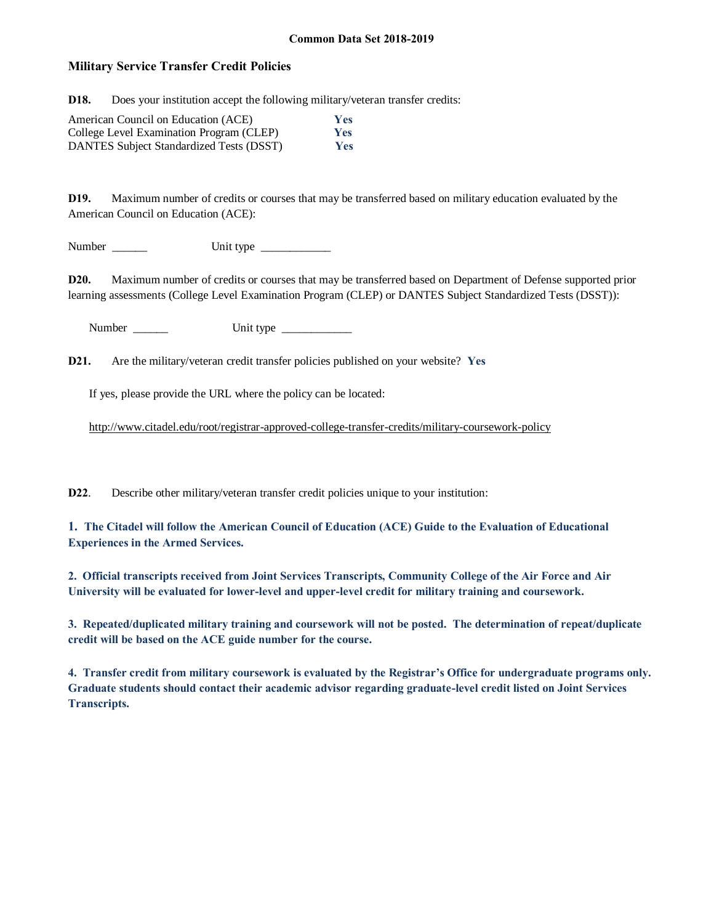# **Military Service Transfer Credit Policies**

**D18.** Does your institution accept the following military/veteran transfer credits:

| American Council on Education (ACE)      | Yes |
|------------------------------------------|-----|
| College Level Examination Program (CLEP) | Yes |
| DANTES Subject Standardized Tests (DSST) | Yes |

**D19.** Maximum number of credits or courses that may be transferred based on military education evaluated by the American Council on Education (ACE):

Number \_\_\_\_\_\_ Unit type \_\_\_\_\_\_\_\_\_\_\_\_

**D20.** Maximum number of credits or courses that may be transferred based on Department of Defense supported prior learning assessments (College Level Examination Program (CLEP) or DANTES Subject Standardized Tests (DSST)):

Number \_\_\_\_\_\_ Unit type \_\_\_\_\_\_\_\_\_\_\_\_

**D21.** Are the military/veteran credit transfer policies published on your website? **Yes**

If yes, please provide the URL where the policy can be located:

<http://www.citadel.edu/root/registrar-approved-college-transfer-credits/military-coursework-policy>

**D22**. Describe other military/veteran transfer credit policies unique to your institution:

**1. The Citadel will follow the American Council of Education (ACE) Guide to the Evaluation of Educational Experiences in the Armed Services.**

**2. Official transcripts received from Joint Services Transcripts, Community College of the Air Force and Air University will be evaluated for lower-level and upper-level credit for military training and coursework.**

**3. Repeated/duplicated military training and coursework will not be posted. The determination of repeat/duplicate credit will be based on the ACE guide number for the course.**

**4. Transfer credit from military coursework is evaluated by the Registrar's Office for undergraduate programs only. Graduate students should contact their academic advisor regarding graduate-level credit listed on Joint Services Transcripts.**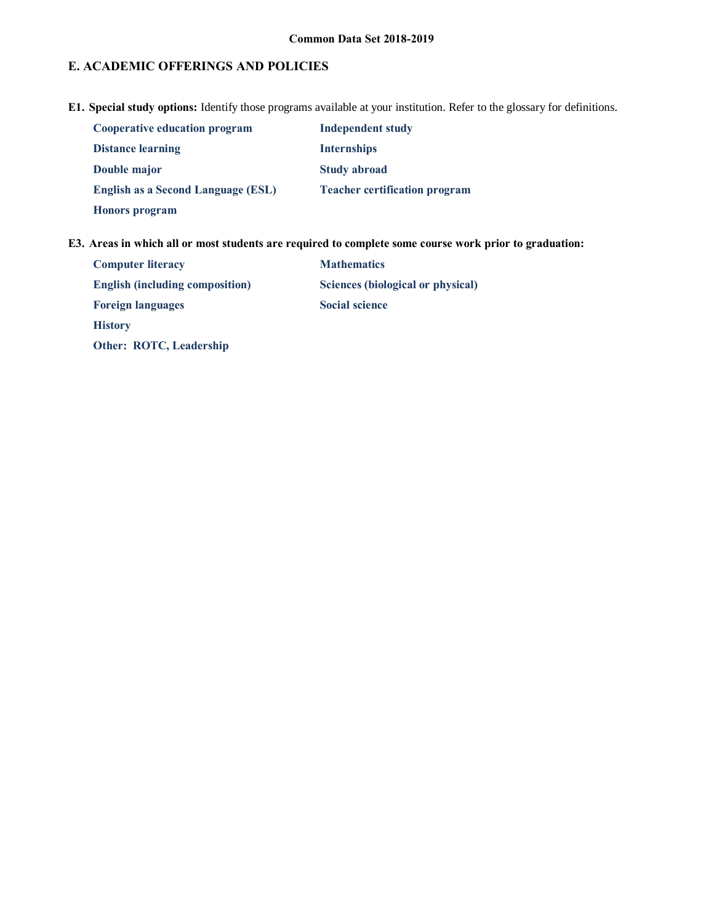# **E. ACADEMIC OFFERINGS AND POLICIES**

**E1. Special study options:** Identify those programs available at your institution. Refer to the glossary for definitions.

| <b>Cooperative education program</b> | <b>Independent study</b>             |
|--------------------------------------|--------------------------------------|
| <b>Distance learning</b>             | <b>Internships</b>                   |
| Double major                         | <b>Study abroad</b>                  |
| English as a Second Language (ESL)   | <b>Teacher certification program</b> |
| <b>Honors</b> program                |                                      |

**E3. Areas in which all or most students are required to complete some course work prior to graduation:**

| <b>Computer literacy</b>               | <b>Mathematics</b>                |
|----------------------------------------|-----------------------------------|
| <b>English (including composition)</b> | Sciences (biological or physical) |
| <b>Foreign languages</b>               | <b>Social science</b>             |
| <b>History</b>                         |                                   |
| Other: ROTC, Leadership                |                                   |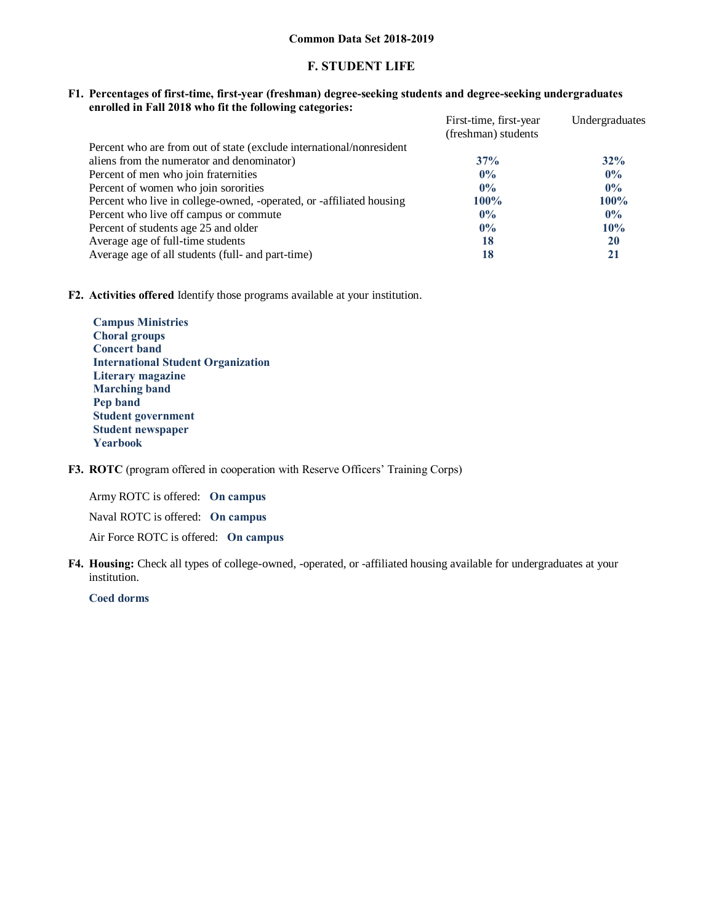# **F. STUDENT LIFE**

#### **F1. Percentages of first-time, first-year (freshman) degree-seeking students and degree-seeking undergraduates enrolled in Fall 2018 who fit the following categories:**

|                                                                      | First-time, first-year | Undergraduates |
|----------------------------------------------------------------------|------------------------|----------------|
|                                                                      | (freshman) students    |                |
| Percent who are from out of state (exclude international/nonresident |                        |                |
| aliens from the numerator and denominator)                           | 37%                    | 32%            |
| Percent of men who join fraternities                                 | $0\%$                  | $0\%$          |
| Percent of women who join sororities                                 | $0\%$                  | $0\%$          |
| Percent who live in college-owned, -operated, or -affiliated housing | $100\%$                | $100\%$        |
| Percent who live off campus or commute                               | $0\%$                  | $0\%$          |
| Percent of students age 25 and older                                 | $0\%$                  | 10%            |
| Average age of full-time students                                    | 18                     | 20             |
| Average age of all students (full- and part-time)                    | 18                     | 21             |

# **F2. Activities offered** Identify those programs available at your institution.

**Campus Ministries Choral groups Concert band International Student Organization Literary magazine Marching band Pep band Student government Student newspaper Yearbook**

# **F3. ROTC** (program offered in cooperation with Reserve Officers' Training Corps)

Army ROTC is offered: **On campus**

Naval ROTC is offered: **On campus**

Air Force ROTC is offered: **On campus**

**F4. Housing:** Check all types of college-owned, -operated, or -affiliated housing available for undergraduates at your institution.

**Coed dorms**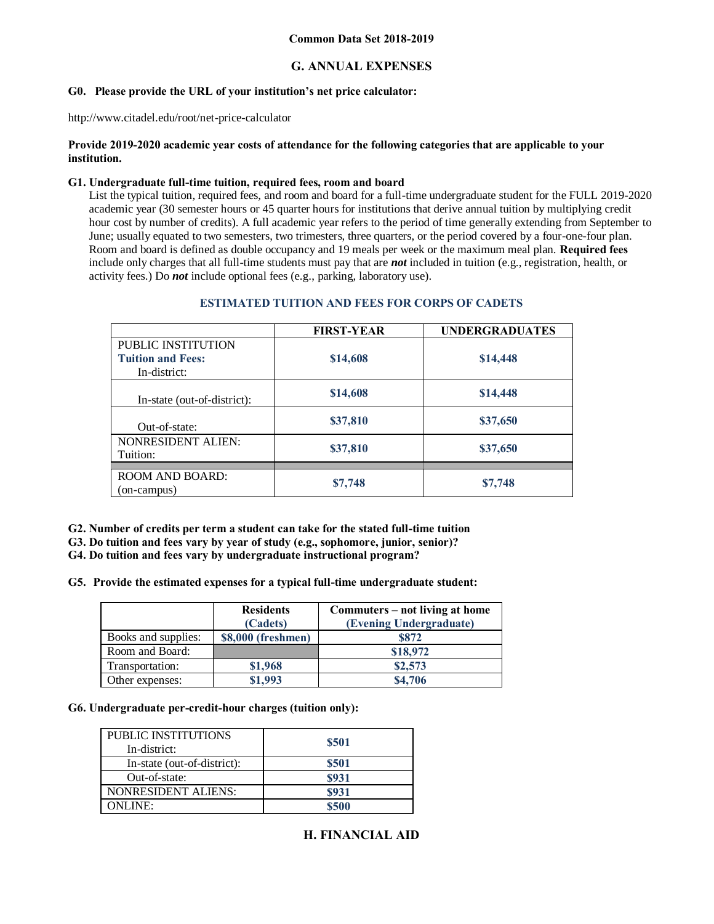# **G. ANNUAL EXPENSES**

# **G0. Please provide the URL of your institution's net price calculator:**

http://www.citadel.edu/root/net-price-calculator

### **Provide 2019-2020 academic year costs of attendance for the following categories that are applicable to your institution.**

# **G1. Undergraduate full-time tuition, required fees, room and board**

List the typical tuition, required fees, and room and board for a full-time undergraduate student for the FULL 2019-2020 academic year (30 semester hours or 45 quarter hours for institutions that derive annual tuition by multiplying credit hour cost by number of credits). A full academic year refers to the period of time generally extending from September to June; usually equated to two semesters, two trimesters, three quarters, or the period covered by a four-one-four plan. Room and board is defined as double occupancy and 19 meals per week or the maximum meal plan. **Required fees** include only charges that all full-time students must pay that are *not* included in tuition (e.g., registration, health, or activity fees.) Do *not* include optional fees (e.g., parking, laboratory use).

|                                                                | <b>FIRST-YEAR</b> | <b>UNDERGRADUATES</b> |
|----------------------------------------------------------------|-------------------|-----------------------|
| PUBLIC INSTITUTION<br><b>Tuition and Fees:</b><br>In-district: | \$14,608          | \$14,448              |
| In-state (out-of-district):                                    | \$14,608          | \$14,448              |
| Out-of-state:                                                  | \$37,810          | \$37,650              |
| <b>NONRESIDENT ALIEN:</b><br>Tuition:                          | \$37,810          | \$37,650              |
|                                                                |                   |                       |
| <b>ROOM AND BOARD:</b><br>(on-campus)                          | \$7,748           | \$7,748               |

#### **ESTIMATED TUITION AND FEES FOR CORPS OF CADETS**

**G2. Number of credits per term a student can take for the stated full-time tuition**

**G3. Do tuition and fees vary by year of study (e.g., sophomore, junior, senior)?**

**G4. Do tuition and fees vary by undergraduate instructional program?** 

**G5. Provide the estimated expenses for a typical full-time undergraduate student:**

|                     | <b>Residents</b><br>(Cadets) | Commuters – not living at home<br>(Evening Undergraduate) |
|---------------------|------------------------------|-----------------------------------------------------------|
| Books and supplies: | \$8,000 (freshmen)           | <b>S872</b>                                               |
| Room and Board:     |                              | \$18,972                                                  |
| Transportation:     | \$1,968                      | \$2,573                                                   |
| Other expenses:     | \$1,993                      | \$4,706                                                   |

# **G6. Undergraduate per-credit-hour charges (tuition only):**

| PUBLIC INSTITUTIONS<br>In-district: | \$501 |
|-------------------------------------|-------|
| In-state (out-of-district):         | \$501 |
| Out-of-state:                       | \$931 |
| <b>NONRESIDENT ALIENS:</b>          | \$931 |
| ONLINE:                             | \$500 |

# **H. FINANCIAL AID**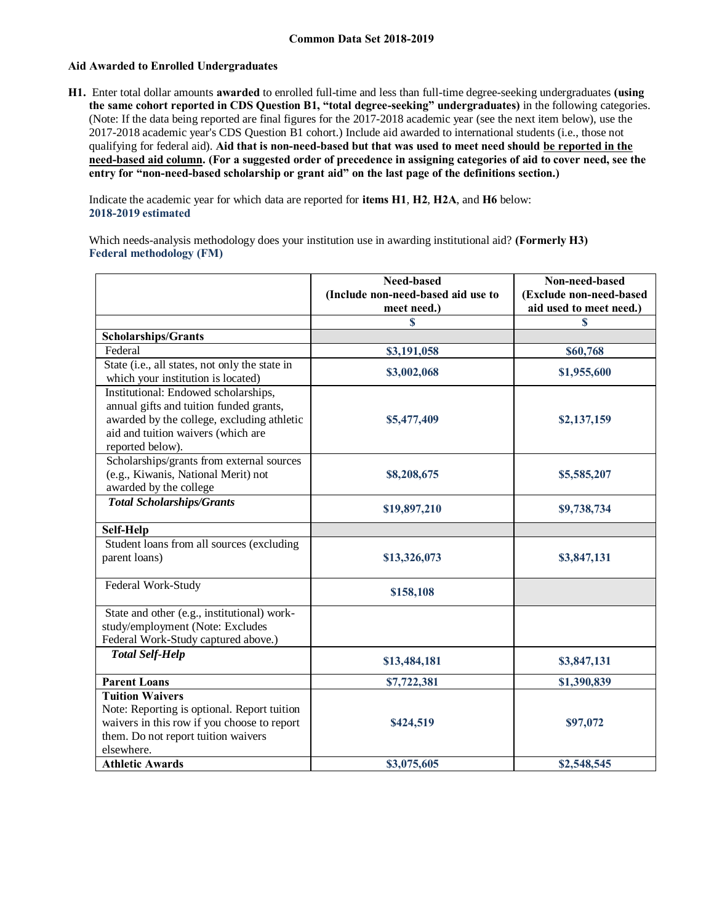### **Aid Awarded to Enrolled Undergraduates**

**H1.** Enter total dollar amounts **awarded** to enrolled full-time and less than full-time degree-seeking undergraduates **(using the same cohort reported in CDS Question B1, "total degree-seeking" undergraduates)** in the following categories. (Note: If the data being reported are final figures for the 2017-2018 academic year (see the next item below), use the 2017-2018 academic year's CDS Question B1 cohort.) Include aid awarded to international students (i.e., those not qualifying for federal aid). **Aid that is non-need-based but that was used to meet need should be reported in the need-based aid column. (For a suggested order of precedence in assigning categories of aid to cover need, see the entry for "non-need-based scholarship or grant aid" on the last page of the definitions section.)**

Indicate the academic year for which data are reported for **items H1**, **H2**, **H2A**, and **H6** below: **2018-2019 estimated** 

Which needs-analysis methodology does your institution use in awarding institutional aid? **(Formerly H3) Federal methodology (FM)**

|                                                                                                                                                                                         | <b>Need-based</b>                  | Non-need-based                          |
|-----------------------------------------------------------------------------------------------------------------------------------------------------------------------------------------|------------------------------------|-----------------------------------------|
|                                                                                                                                                                                         | (Include non-need-based aid use to | (Exclude non-need-based                 |
|                                                                                                                                                                                         | meet need.)<br>S                   | aid used to meet need.)<br>$\mathbf{s}$ |
| <b>Scholarships/Grants</b>                                                                                                                                                              |                                    |                                         |
| Federal                                                                                                                                                                                 | \$3,191,058                        | \$60,768                                |
| State (i.e., all states, not only the state in<br>which your institution is located)                                                                                                    | \$3,002,068                        | \$1,955,600                             |
| Institutional: Endowed scholarships,<br>annual gifts and tuition funded grants,<br>awarded by the college, excluding athletic<br>aid and tuition waivers (which are<br>reported below). | \$5,477,409                        | \$2,137,159                             |
| Scholarships/grants from external sources<br>(e.g., Kiwanis, National Merit) not<br>awarded by the college                                                                              | \$8,208,675                        | \$5,585,207                             |
| <b>Total Scholarships/Grants</b>                                                                                                                                                        | \$19,897,210                       | \$9,738,734                             |
| Self-Help                                                                                                                                                                               |                                    |                                         |
| Student loans from all sources (excluding<br>parent loans)                                                                                                                              | \$13,326,073                       | \$3,847,131                             |
| Federal Work-Study                                                                                                                                                                      | \$158,108                          |                                         |
| State and other (e.g., institutional) work-<br>study/employment (Note: Excludes<br>Federal Work-Study captured above.)                                                                  |                                    |                                         |
| <b>Total Self-Help</b>                                                                                                                                                                  | \$13,484,181                       | \$3,847,131                             |
| <b>Parent Loans</b>                                                                                                                                                                     | \$7,722,381                        | \$1,390,839                             |
| <b>Tuition Waivers</b><br>Note: Reporting is optional. Report tuition<br>waivers in this row if you choose to report<br>them. Do not report tuition waivers<br>elsewhere.               | \$424,519                          | \$97,072                                |
| <b>Athletic Awards</b>                                                                                                                                                                  | \$3,075,605                        | \$2,548,545                             |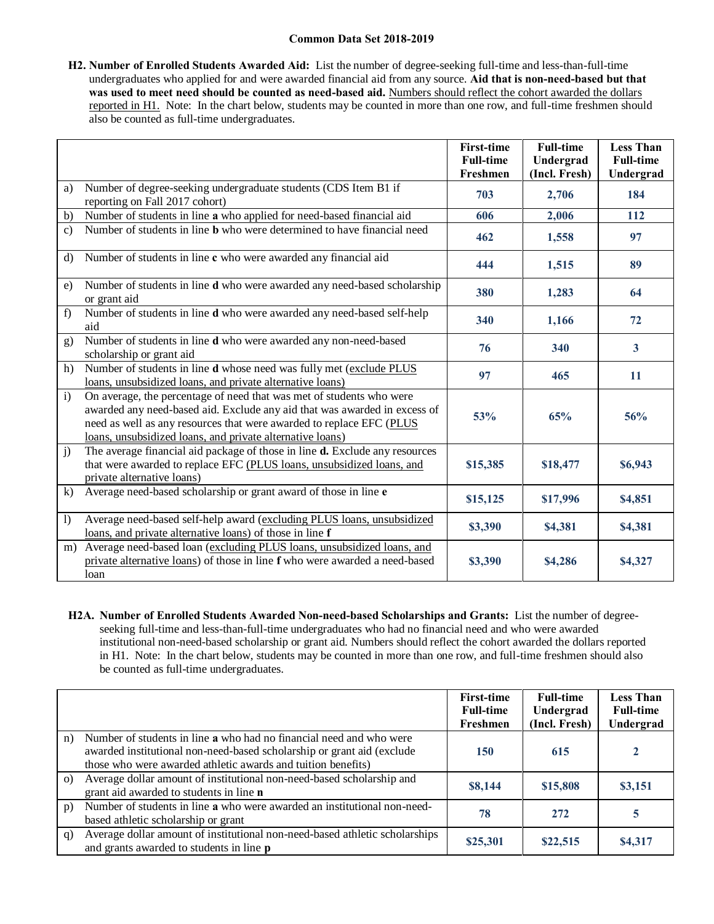**H2. Number of Enrolled Students Awarded Aid:** List the number of degree-seeking full-time and less-than-full-time undergraduates who applied for and were awarded financial aid from any source. **Aid that is non-need-based but that was used to meet need should be counted as need-based aid.** Numbers should reflect the cohort awarded the dollars reported in H1. Note: In the chart below, students may be counted in more than one row, and full-time freshmen should also be counted as full-time undergraduates.

|                |                                                                                                                                                                                                                                                                                        | <b>First-time</b> | <b>Full-time</b> | <b>Less Than</b>        |
|----------------|----------------------------------------------------------------------------------------------------------------------------------------------------------------------------------------------------------------------------------------------------------------------------------------|-------------------|------------------|-------------------------|
|                |                                                                                                                                                                                                                                                                                        | <b>Full-time</b>  | Undergrad        | <b>Full-time</b>        |
|                |                                                                                                                                                                                                                                                                                        | Freshmen          | (Incl. Fresh)    | Undergrad               |
| a)             | Number of degree-seeking undergraduate students (CDS Item B1 if<br>reporting on Fall 2017 cohort)                                                                                                                                                                                      | 703               | 2,706            | 184                     |
| b)             | Number of students in line a who applied for need-based financial aid                                                                                                                                                                                                                  | 606               | 2,006            | 112                     |
| $\mathbf{c}$ ) | Number of students in line <b>b</b> who were determined to have financial need                                                                                                                                                                                                         | 462               | 1,558            | 97                      |
| $\rm d$        | Number of students in line c who were awarded any financial aid                                                                                                                                                                                                                        | 444               | 1,515            | 89                      |
| e)             | Number of students in line d who were awarded any need-based scholarship<br>or grant aid                                                                                                                                                                                               | 380               | 1,283            | 64                      |
| f)             | Number of students in line d who were awarded any need-based self-help<br>aid                                                                                                                                                                                                          | 340               | 1,166            | 72                      |
| g)             | Number of students in line d who were awarded any non-need-based<br>scholarship or grant aid                                                                                                                                                                                           | 76                | 340              | $\overline{\mathbf{3}}$ |
| h)             | Number of students in line d whose need was fully met (exclude PLUS<br>loans, unsubsidized loans, and private alternative loans)                                                                                                                                                       | 97                | 465              | 11                      |
| $\mathbf{i}$   | On average, the percentage of need that was met of students who were<br>awarded any need-based aid. Exclude any aid that was awarded in excess of<br>need as well as any resources that were awarded to replace EFC (PLUS<br>loans, unsubsidized loans, and private alternative loans) | 53%               | 65%              | 56%                     |
| $\mathbf{j}$   | The average financial aid package of those in line <b>d.</b> Exclude any resources<br>that were awarded to replace EFC (PLUS loans, unsubsidized loans, and<br>private alternative loans)                                                                                              | \$15,385          | \$18,477         | \$6,943                 |
| k)             | Average need-based scholarship or grant award of those in line e                                                                                                                                                                                                                       | \$15,125          | \$17,996         | \$4,851                 |
| $\overline{1}$ | Average need-based self-help award (excluding PLUS loans, unsubsidized<br>loans, and private alternative loans) of those in line f                                                                                                                                                     | \$3,390           | \$4,381          | \$4,381                 |
|                | m) Average need-based loan (excluding PLUS loans, unsubsidized loans, and<br>private alternative loans) of those in line f who were awarded a need-based<br>loan                                                                                                                       | \$3,390           | \$4,286          | \$4,327                 |

**H2A. Number of Enrolled Students Awarded Non-need-based Scholarships and Grants:** List the number of degreeseeking full-time and less-than-full-time undergraduates who had no financial need and who were awarded institutional non-need-based scholarship or grant aid. Numbers should reflect the cohort awarded the dollars reported in H1. Note: In the chart below, students may be counted in more than one row, and full-time freshmen should also be counted as full-time undergraduates.

|          |                                                                                                                                                                                                               | <b>First-time</b><br><b>Full-time</b> | <b>Full-time</b><br>Undergrad | <b>Less Than</b><br><b>Full-time</b> |
|----------|---------------------------------------------------------------------------------------------------------------------------------------------------------------------------------------------------------------|---------------------------------------|-------------------------------|--------------------------------------|
|          |                                                                                                                                                                                                               | Freshmen                              | (Incl. Fresh)                 | Undergrad                            |
| n)       | Number of students in line a who had no financial need and who were<br>awarded institutional non-need-based scholarship or grant aid (exclude<br>those who were awarded athletic awards and tuition benefits) | 150                                   | 615                           |                                      |
| $\Omega$ | Average dollar amount of institutional non-need-based scholarship and<br>grant aid awarded to students in line n                                                                                              | \$8,144                               | \$15,808                      | \$3,151                              |
| p)       | Number of students in line a who were awarded an institutional non-need-<br>based athletic scholarship or grant                                                                                               | 78                                    | 272                           | 5                                    |
| q)       | Average dollar amount of institutional non-need-based athletic scholarships<br>and grants awarded to students in line <b>p</b>                                                                                | \$25,301                              | \$22,515                      | \$4,317                              |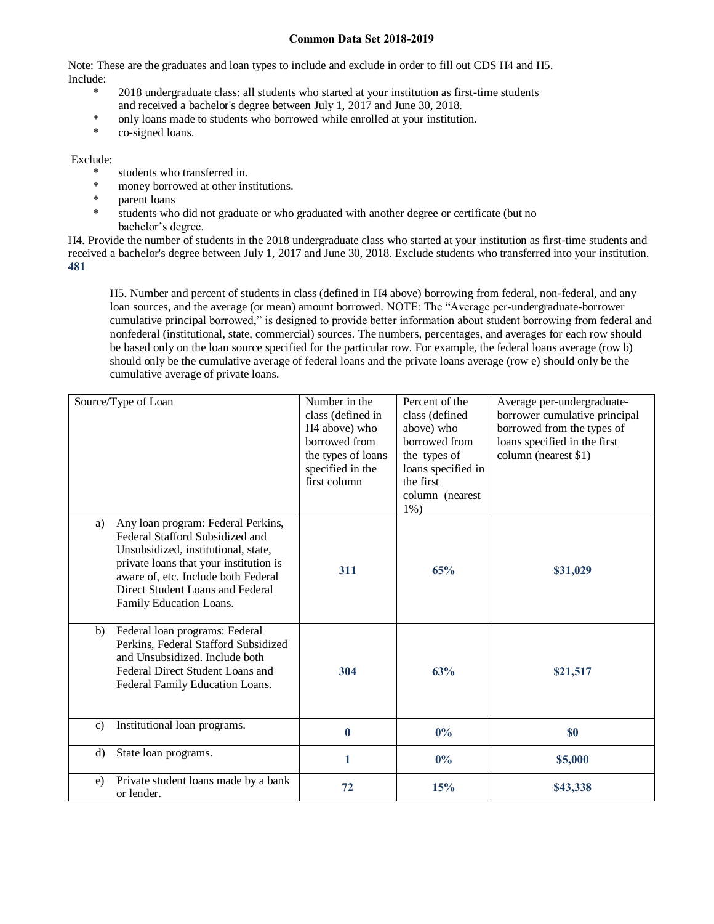Note: These are the graduates and loan types to include and exclude in order to fill out CDS H4 and H5. Include:

- \* 2018 undergraduate class: all students who started at your institution as first-time students and received a bachelor's degree between July 1, 2017 and June 30, 2018.
- \* only loans made to students who borrowed while enrolled at your institution.
- co-signed loans.

### Exclude:

- \* students who transferred in.
- \* money borrowed at other institutions.
- parent loans
- \* students who did not graduate or who graduated with another degree or certificate (but no bachelor's degree.

H4. Provide the number of students in the 2018 undergraduate class who started at your institution as first-time students and received a bachelor's degree between July 1, 2017 and June 30, 2018. Exclude students who transferred into your institution. **481**

H5. Number and percent of students in class (defined in H4 above) borrowing from federal, non-federal, and any loan sources, and the average (or mean) amount borrowed. NOTE: The "Average per-undergraduate-borrower cumulative principal borrowed," is designed to provide better information about student borrowing from federal and nonfederal (institutional, state, commercial) sources. The numbers, percentages, and averages for each row should be based only on the loan source specified for the particular row. For example, the federal loans average (row b) should only be the cumulative average of federal loans and the private loans average (row e) should only be the cumulative average of private loans.

| Source/Type of Loan                                                                                                                                                                                                                                                | Number in the<br>class (defined in<br>H <sub>4</sub> above) who<br>borrowed from<br>the types of loans<br>specified in the<br>first column | Percent of the<br>class (defined<br>above) who<br>borrowed from<br>the types of<br>loans specified in<br>the first<br>column (nearest<br>$1\%$ ) | Average per-undergraduate-<br>borrower cumulative principal<br>borrowed from the types of<br>loans specified in the first<br>column (nearest \$1) |
|--------------------------------------------------------------------------------------------------------------------------------------------------------------------------------------------------------------------------------------------------------------------|--------------------------------------------------------------------------------------------------------------------------------------------|--------------------------------------------------------------------------------------------------------------------------------------------------|---------------------------------------------------------------------------------------------------------------------------------------------------|
| Any loan program: Federal Perkins,<br>a)<br>Federal Stafford Subsidized and<br>Unsubsidized, institutional, state,<br>private loans that your institution is<br>aware of, etc. Include both Federal<br>Direct Student Loans and Federal<br>Family Education Loans. | 311                                                                                                                                        | 65%                                                                                                                                              | \$31,029                                                                                                                                          |
| Federal loan programs: Federal<br>b)<br>Perkins, Federal Stafford Subsidized<br>and Unsubsidized. Include both<br>Federal Direct Student Loans and<br>Federal Family Education Loans.                                                                              | 304                                                                                                                                        | 63%                                                                                                                                              | \$21,517                                                                                                                                          |
| Institutional loan programs.<br>$\mathbf{c}$                                                                                                                                                                                                                       | $\bf{0}$                                                                                                                                   | $0\%$                                                                                                                                            | <b>SO</b>                                                                                                                                         |
| State loan programs.<br>d)                                                                                                                                                                                                                                         | 1                                                                                                                                          | $0\%$                                                                                                                                            | \$5,000                                                                                                                                           |
| Private student loans made by a bank<br>e)<br>or lender.                                                                                                                                                                                                           | 72                                                                                                                                         | 15%                                                                                                                                              | \$43,338                                                                                                                                          |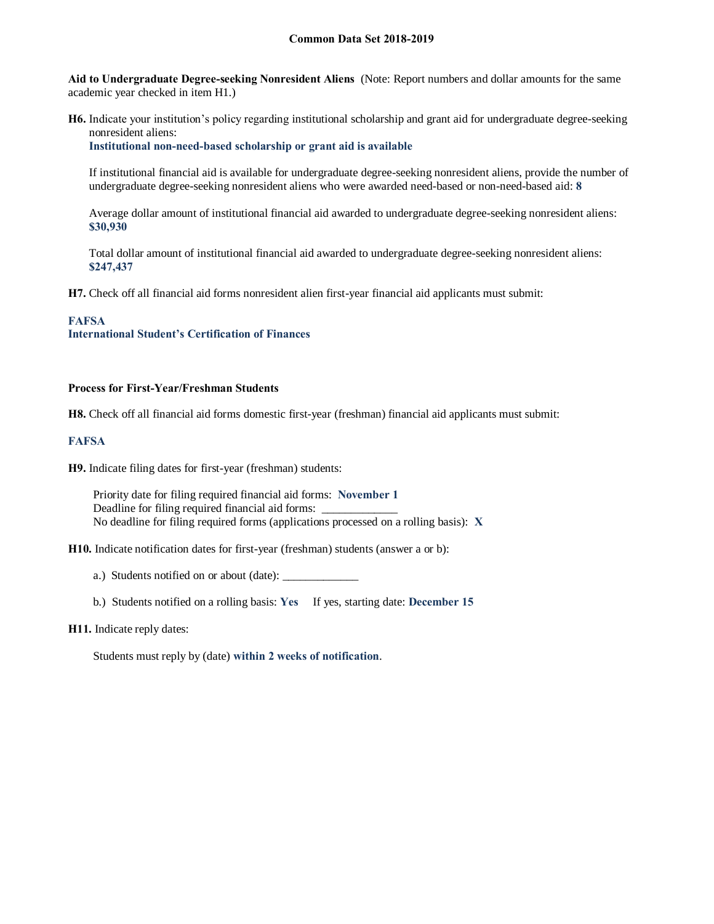**Aid to Undergraduate Degree-seeking Nonresident Aliens** (Note: Report numbers and dollar amounts for the same academic year checked in item H1.)

**H6.** Indicate your institution's policy regarding institutional scholarship and grant aid for undergraduate degree-seeking nonresident aliens:

**Institutional non-need-based scholarship or grant aid is available**

If institutional financial aid is available for undergraduate degree-seeking nonresident aliens, provide the number of undergraduate degree-seeking nonresident aliens who were awarded need-based or non-need-based aid: **8**

Average dollar amount of institutional financial aid awarded to undergraduate degree-seeking nonresident aliens: **\$30,930**

Total dollar amount of institutional financial aid awarded to undergraduate degree-seeking nonresident aliens: **\$247,437**

**H7.** Check off all financial aid forms nonresident alien first-year financial aid applicants must submit:

# **FAFSA**

**International Student's Certification of Finances**

#### **Process for First-Year/Freshman Students**

**H8.** Check off all financial aid forms domestic first-year (freshman) financial aid applicants must submit:

### **FAFSA**

**H9.** Indicate filing dates for first-year (freshman) students:

Priority date for filing required financial aid forms: **November 1** Deadline for filing required financial aid forms: No deadline for filing required forms (applications processed on a rolling basis): **X**

**H10.** Indicate notification dates for first-year (freshman) students (answer a or b):

a.) Students notified on or about (date): \_\_\_\_\_\_\_\_\_\_\_\_\_

b.) Students notified on a rolling basis: **Yes** If yes, starting date: **December 15**

# **H11.** Indicate reply dates:

Students must reply by (date) **within 2 weeks of notification**.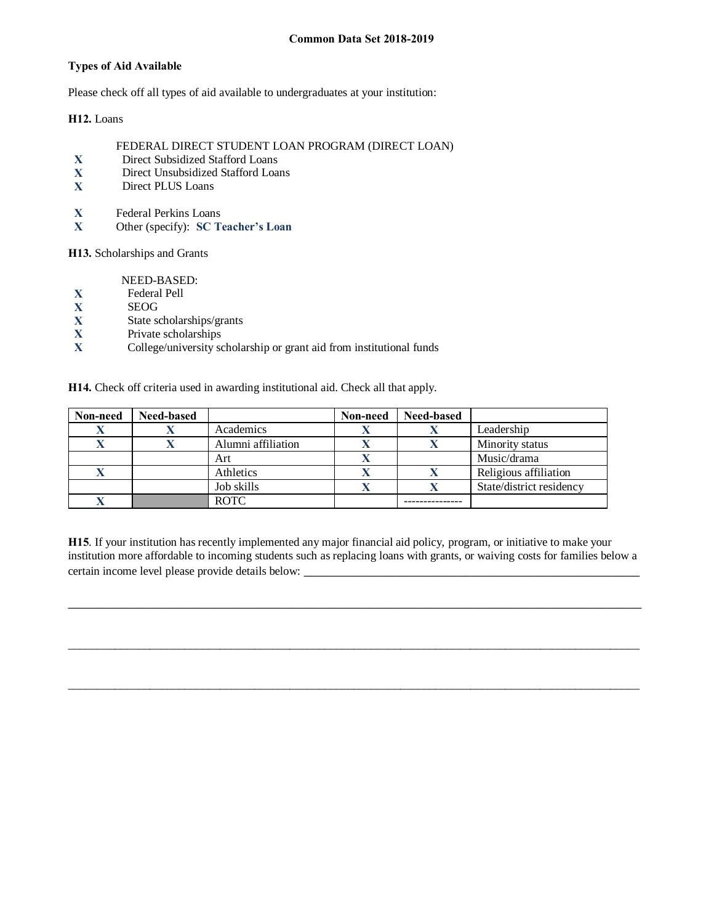# **Types of Aid Available**

Please check off all types of aid available to undergraduates at your institution:

**H12.** Loans

- FEDERAL DIRECT STUDENT LOAN PROGRAM (DIRECT LOAN)
- X Direct Subsidized Stafford Loans<br>
X Direct Unsubsidized Stafford Loa
- **X** Direct Unsubsidized Stafford Loans
- **X** Direct PLUS Loans
- **X** Federal Perkins Loans<br>**X** Other (specify): **SC** T
- **X** Other (specify): **SC Teacher's Loan**

**H13.** Scholarships and Grants

NEED-BASED:

- **X** Federal Pell
- **X** SEOG<br>**X** State so
- **X** State scholarships/grants<br>**X** Private scholarships
- **X** Private scholarships<br> **X** College/university so
- **X** College/university scholarship or grant aid from institutional funds

**H14.** Check off criteria used in awarding institutional aid. Check all that apply.

| Non-need | <b>Need-based</b> |                    | Non-need | <b>Need-based</b> |                          |
|----------|-------------------|--------------------|----------|-------------------|--------------------------|
| л        |                   | Academics          |          |                   | Leadership               |
|          |                   | Alumni affiliation |          |                   | Minority status          |
|          |                   | Art                |          |                   | Music/drama              |
|          |                   | Athletics          |          |                   | Religious affiliation    |
|          |                   | Job skills         |          |                   | State/district residency |
|          |                   | <b>ROTC</b>        |          |                   |                          |

**H15**. If your institution has recently implemented any major financial aid policy, program, or initiative to make your institution more affordable to incoming students such as replacing loans with grants, or waiving costs for families below a certain income level please provide details below:

\_\_\_\_\_\_\_\_\_\_\_\_\_\_\_\_\_\_\_\_\_\_\_\_\_\_\_\_\_\_\_\_\_\_\_\_\_\_\_\_\_\_\_\_\_\_\_\_\_\_\_\_\_\_\_\_\_\_\_\_\_\_\_\_\_\_\_\_\_\_\_\_\_\_\_\_\_\_\_\_\_\_

 $\_$  ,  $\_$  ,  $\_$  ,  $\_$  ,  $\_$  ,  $\_$  ,  $\_$  ,  $\_$  ,  $\_$  ,  $\_$  ,  $\_$  ,  $\_$  ,  $\_$  ,  $\_$  ,  $\_$  ,  $\_$  ,  $\_$  ,  $\_$  ,  $\_$  ,  $\_$  ,  $\_$  ,  $\_$  ,  $\_$  ,  $\_$  ,  $\_$  ,  $\_$  ,  $\_$  ,  $\_$  ,  $\_$  ,  $\_$  ,  $\_$  ,  $\_$  ,  $\_$  ,  $\_$  ,  $\_$  ,  $\_$  ,  $\_$  ,

\_\_\_\_\_\_\_\_\_\_\_\_\_\_\_\_\_\_\_\_\_\_\_\_\_\_\_\_\_\_\_\_\_\_\_\_\_\_\_\_\_\_\_\_\_\_\_\_\_\_\_\_\_\_\_\_\_\_\_\_\_\_\_\_\_\_\_\_\_\_\_\_\_\_\_\_\_\_\_\_\_\_\_\_\_\_\_\_\_\_\_\_\_\_\_\_\_\_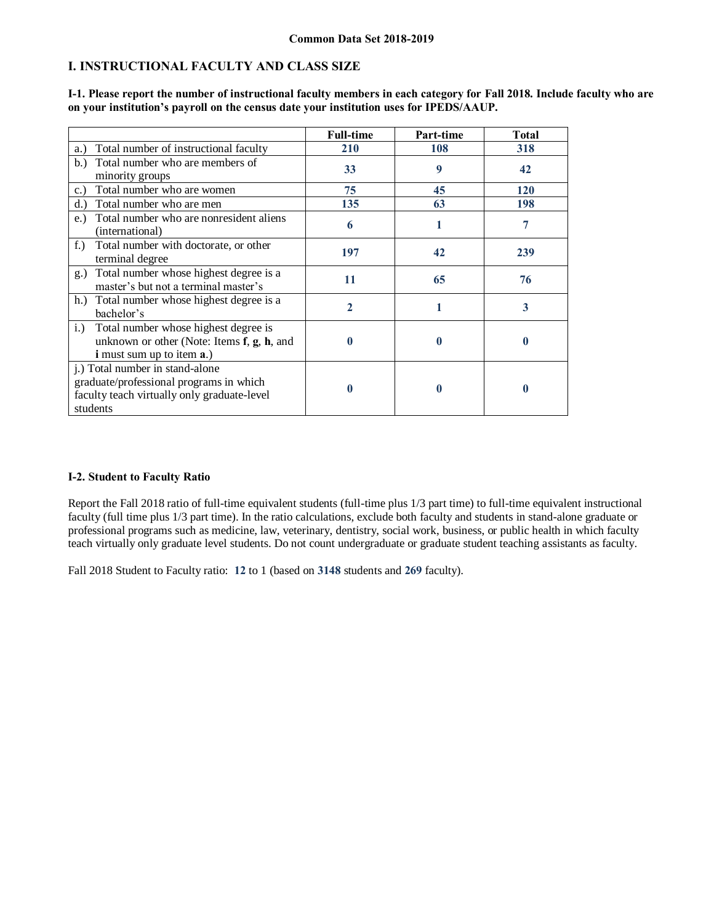# **I. INSTRUCTIONAL FACULTY AND CLASS SIZE**

|                                                                                                                                       | <b>Full-time</b> | Part-time | <b>Total</b> |
|---------------------------------------------------------------------------------------------------------------------------------------|------------------|-----------|--------------|
| Total number of instructional faculty<br>a.)                                                                                          | 210              | 108       | 318          |
| Total number who are members of<br>b.<br>minority groups                                                                              | 33               | 9         | 42           |
| Total number who are women<br>$c.$ )                                                                                                  | 75               | 45        | 120          |
| Total number who are men<br>d.                                                                                                        | 135              | 63        | 198          |
| Total number who are nonresident aliens<br>$e$ .<br>(international)                                                                   | 6                |           | 7            |
| $f_{\cdot}$ )<br>Total number with doctorate, or other<br>terminal degree                                                             | 197              | 42        | 239          |
| Total number whose highest degree is a<br>$g_{\cdot}$<br>master's but not a terminal master's                                         | 11               | 65        | 76           |
| h.) Total number whose highest degree is a<br>bachelor's                                                                              | 2                |           | 3            |
| Total number whose highest degree is<br>i.)<br>unknown or other (Note: Items f, g, h, and<br><b>i</b> must sum up to item <b>a</b> .) |                  | 0         | O            |
| j.) Total number in stand-alone<br>graduate/professional programs in which<br>faculty teach virtually only graduate-level<br>students |                  | 0         | 0            |

**I-1. Please report the number of instructional faculty members in each category for Fall 2018. Include faculty who are on your institution's payroll on the census date your institution uses for IPEDS/AAUP.**

#### **I-2. Student to Faculty Ratio**

Report the Fall 2018 ratio of full-time equivalent students (full-time plus 1/3 part time) to full-time equivalent instructional faculty (full time plus 1/3 part time). In the ratio calculations, exclude both faculty and students in stand-alone graduate or professional programs such as medicine, law, veterinary, dentistry, social work, business, or public health in which faculty teach virtually only graduate level students. Do not count undergraduate or graduate student teaching assistants as faculty.

Fall 2018 Student to Faculty ratio: **12** to 1 (based on **3148** students and **269** faculty).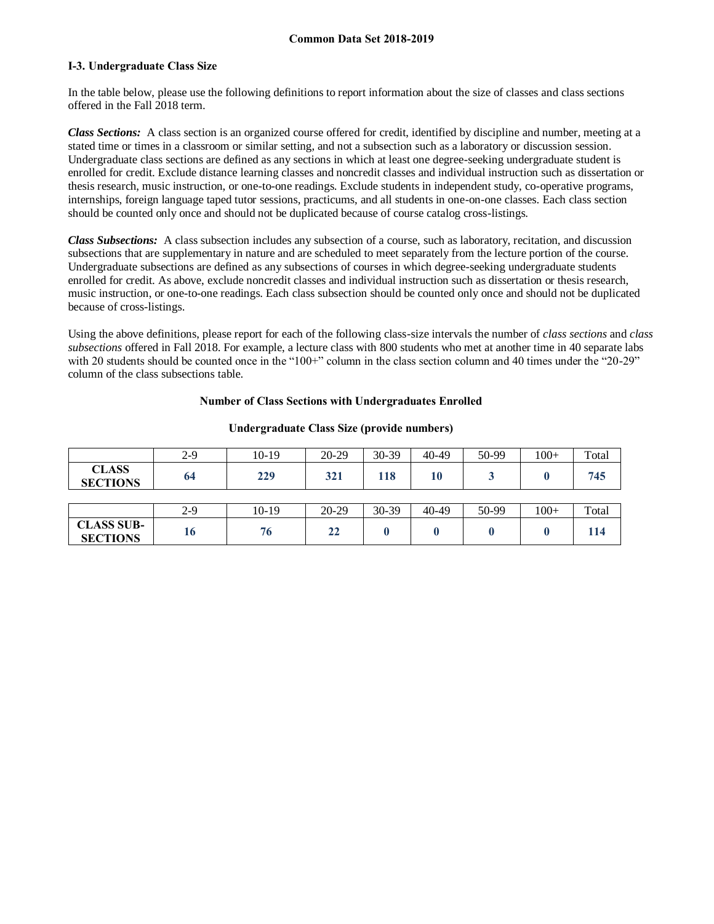### **I-3. Undergraduate Class Size**

In the table below, please use the following definitions to report information about the size of classes and class sections offered in the Fall 2018 term.

*Class Sections:* A class section is an organized course offered for credit, identified by discipline and number, meeting at a stated time or times in a classroom or similar setting, and not a subsection such as a laboratory or discussion session. Undergraduate class sections are defined as any sections in which at least one degree-seeking undergraduate student is enrolled for credit. Exclude distance learning classes and noncredit classes and individual instruction such as dissertation or thesis research, music instruction, or one-to-one readings. Exclude students in independent study, co-operative programs, internships, foreign language taped tutor sessions, practicums, and all students in one-on-one classes. Each class section should be counted only once and should not be duplicated because of course catalog cross-listings.

*Class Subsections:* A class subsection includes any subsection of a course, such as laboratory, recitation, and discussion subsections that are supplementary in nature and are scheduled to meet separately from the lecture portion of the course. Undergraduate subsections are defined as any subsections of courses in which degree-seeking undergraduate students enrolled for credit. As above, exclude noncredit classes and individual instruction such as dissertation or thesis research, music instruction, or one-to-one readings. Each class subsection should be counted only once and should not be duplicated because of cross-listings.

Using the above definitions, please report for each of the following class-size intervals the number of *class sections* and *class subsections* offered in Fall 2018. For example, a lecture class with 800 students who met at another time in 40 separate labs with 20 students should be counted once in the "100+" column in the class section column and 40 times under the "20-29" column of the class subsections table.

# **Number of Class Sections with Undergraduates Enrolled**

|                                      | $2-9$ | $10-19$ | 20-29 | 30-39 | 40-49 | 50-99 | $100+$ | Total |
|--------------------------------------|-------|---------|-------|-------|-------|-------|--------|-------|
| <b>CLASS</b><br><b>SECTIONS</b>      | 64    | 229     | 321   | 118   | 10    |       |        | 745   |
|                                      |       |         |       |       |       |       |        |       |
|                                      | $2-9$ | $10-19$ | 20-29 | 30-39 | 40-49 | 50-99 | $100+$ | Total |
| <b>CLASS SUB-</b><br><b>SECTIONS</b> | 16    | 76      | 22    |       |       |       |        | 114   |

#### **Undergraduate Class Size (provide numbers)**